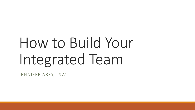# How to Build Your Integrated Team

JENNIFER AREY, LSW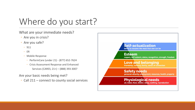# Where do you start?

What are your immediate needs?

- Are you in crisis?
- Are you safe?
	- 911
	- ER
	- Mobile Response
		- PerformCare (under 21) (877) 652-7624
		- Crisis Assessment Response and Enhanced Services (CARES; 21+) – (888) 393-3007

Are your basic needs being met?

◦ Call 211 – connect to county social services

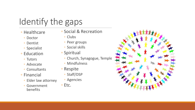# Identify the gaps

- Healthcare
	- Doctor
	- Dentist
	- Specialist
- Education
	- Tutors
	- Advocate
	- Consultants
- Financial
	- Elder law attorney
	- Government benefits
- Social & Recreation
	- Clubs
	- Peer groups
	- Social skills
- Spiritual
	- Church, Synagogue, Temple
	- Mindfulness
- Respite
	- Staff/DSP
	- Agencies
- Etc.

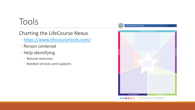## Tools

#### Charting the LifeCourse Nexus

- <https://www.lifecoursetools.com/>
- Person centered
- Help identifying
	- Natural resources
	- Needed services and supports



Developed by the Charting the LifeCourse Nexus - LifeCourseTools.com<br>© 2020 Curators of the University of Missouri | UMKC IHD + March2020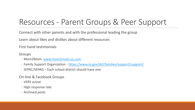### Resources - Parent Groups & Peer Support

Connect with other parents and with the professional leading the group

Learn about likes and dislikes about different resources

First hand testimonials

Groups

- Mom2Mom- [www.mom2mom.us.com](http://www.mom2mom.us.com/)
- Family Support Organization <https://www.nj.gov/dcf/families/support/support/>
- SEPAC/SEPAG Each school district should have one

On-line & Facebook Groups

- VERY active
- High response rate
- Archived posts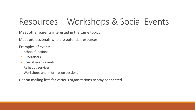# Resources – Workshops & Social Events

Meet other parents interested in the same topics

Meet professionals who are potential resources

Examples of events:

- School functions
- Fundraisers
- Special needs events
- Religious services
- Workshops and information sessions

Get on mailing lists for various organizations to stay connected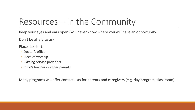# Resources – In the Community

Keep your eyes and ears open! You never know where you will have an opportunity.

Don't be afraid to ask

Places to start:

- Doctor's office
- Place of worship
- Existing service providers
- Child's teacher or other parents

Many programs will offer contact lists for parents and caregivers (e.g. day program, classroom)